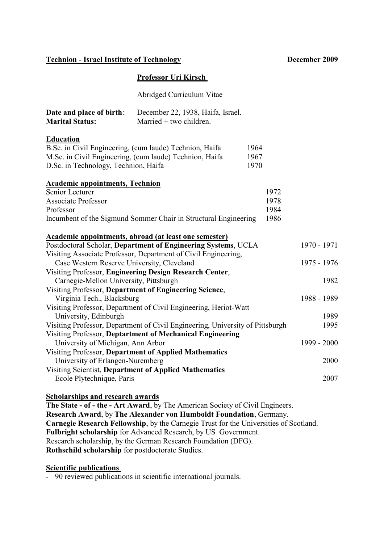# **Technion - Israel Institute of Technology December 2009**

| <b>Professor Uri Kirsch</b> |  |  |
|-----------------------------|--|--|

Abridged Curriculum Vitae **Date and place of birth**: December 22, 1938, Haifa, Israel.

| Date and place of birth.                            | December $22$ , 1990, franca, islael. |
|-----------------------------------------------------|---------------------------------------|
| Married $+$ two children.<br><b>Marital Status:</b> |                                       |

### **Education**

| B.Sc. in Civil Engineering, (cum laude) Technion, Haifa  | 1964 |
|----------------------------------------------------------|------|
| M. Sc. in Civil Engineering, (cum laude) Technion, Haifa | 1967 |
| D.Sc. in Technology, Technion, Haifa                     | 1970 |

### **Academic appointments, Technion**

| Senior Lecturer                                                      | 1972 |
|----------------------------------------------------------------------|------|
| <b>Associate Professor</b>                                           | 1978 |
| Professor                                                            | 1984 |
| Incumbent of the Sigmund Sommer Chair in Structural Engineering 1986 |      |

| Academic appointments, abroad (at least one semester)            |             |
|------------------------------------------------------------------|-------------|
| Postdoctoral Scholar, Department of Engineering Systems, UCLA    | 1970 - 1971 |
| Visiting Associate Professor, Department of Civil Engineering,   |             |
| Case Western Reserve University, Cleveland                       | 1975 - 1976 |
| Visiting Professor, Engineering Design Research Center,          |             |
| Carnegie-Mellon University, Pittsburgh                           | 1982        |
| Visiting Professor, Department of Engineering Science,           |             |
| Virginia Tech., Blacksburg                                       | 1988 - 1989 |
| Visiting Professor, Department of Civil Engineering, Heriot-Watt |             |
| University, Edinburgh                                            | 1989        |
|                                                                  |             |

| Visiting Professor, Department of Civil Engineering, University of Pittsburgh | 1995        |
|-------------------------------------------------------------------------------|-------------|
| Visiting Professor, Deptartment of Mechanical Engineering                     |             |
| University of Michigan, Ann Arbor                                             | 1999 - 2000 |
| Visiting Professor, Department of Applied Mathematics                         |             |
| University of Erlangen-Nuremberg                                              | 2000        |
| Visiting Scientist, Department of Applied Mathematics                         |             |
| Ecole Plytechnique, Paris                                                     | 2007        |

### **Scholarships and research awards**

**The State - of - the - Art Award**, by The American Society of Civil Engineers. **Research Award**, by **The Alexander von Humboldt Foundation**, Germany. **Carnegie Research Fellowship**, by the Carnegie Trust for the Universities of Scotland. **Fulbright scholarship** for Advanced Research, by US Government. Research scholarship, by the German Research Foundation (DFG). **Rothschild scholarship** for postdoctorate Studies.

# **Scientific publications**

- 90 reviewed publications in scientific international journals.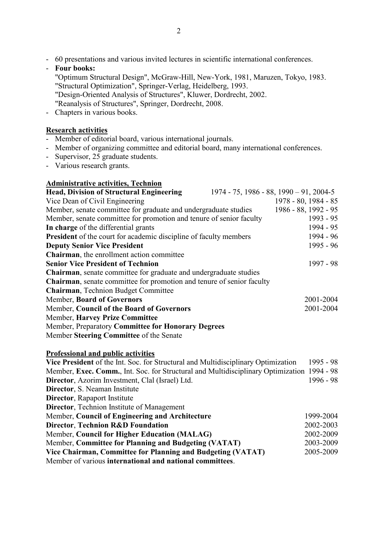- 60 presentations and various invited lectures in scientific international conferences.
- **Four books:** "Optimum Structural Design", McGraw-Hill, New-York, 1981, Maruzen, Tokyo, 1983. "Structural Optimization", Springer-Verlag, Heidelberg, 1993. "Design-Oriented Analysis of Structures", Kluwer, Dordrecht, 2002. "Reanalysis of Structures", Springer, Dordrecht, 2008.
- Chapters in various books.

# **Research activities**

- Member of editorial board, various international journals.
- Member of organizing committee and editorial board, many international conferences.
- Supervisor, 25 graduate students.
- Various research grants.

# **Administrative activities, Technion**

| <b>Head, Division of Structural Engineering</b>                                            | $1974 - 75$ , $1986 - 88$ , $1990 - 91$ , $2004 - 5$ |             |
|--------------------------------------------------------------------------------------------|------------------------------------------------------|-------------|
| Vice Dean of Civil Engineering                                                             | 1978 - 80, 1984 - 85                                 |             |
| Member, senate committee for graduate and undergraduate studies                            | 1986 - 88, 1992 - 95                                 |             |
| Member, senate committee for promotion and tenure of senior faculty                        |                                                      | $1993 - 95$ |
| In charge of the differential grants                                                       |                                                      | 1994 - 95   |
| <b>President</b> of the court for academic discipline of faculty members                   |                                                      | 1994 - 96   |
| <b>Deputy Senior Vice President</b>                                                        |                                                      | 1995 - 96   |
| Chairman, the enrollment action committee                                                  |                                                      |             |
| <b>Senior Vice President of Technion</b>                                                   |                                                      | 1997 - 98   |
| Chairman, senate committee for graduate and undergraduate studies                          |                                                      |             |
| <b>Chairman</b> , senate committee for promotion and tenure of senior faculty              |                                                      |             |
| Chairman, Technion Budget Committee                                                        |                                                      |             |
| Member, Board of Governors                                                                 |                                                      | 2001-2004   |
| Member, Council of the Board of Governors                                                  |                                                      | 2001-2004   |
| Member, Harvey Prize Committee                                                             |                                                      |             |
| Member, Preparatory Committee for Honorary Degrees                                         |                                                      |             |
| Member Steering Committee of the Senate                                                    |                                                      |             |
| <b>Professional and public activities</b>                                                  |                                                      |             |
| Vice President of the Int. Soc. for Structural and Multidisciplinary Optimization          |                                                      | $1995 - 98$ |
| Member, Exec. Comm., Int. Soc. for Structural and Multidisciplinary Optimization 1994 - 98 |                                                      |             |
| Director, Azorim Investment, Clal (Israel) Ltd.                                            |                                                      | 1996 - 98   |
| Director, S. Neaman Institute                                                              |                                                      |             |
| Director, Rapaport Institute                                                               |                                                      |             |
| <b>Director</b> , Technion Institute of Management                                         |                                                      |             |
| Member, Council of Engineering and Architecture                                            |                                                      | 1999-2004   |
| <b>Director, Technion R&amp;D Foundation</b>                                               |                                                      | 2002-2003   |

Member, **Council for Higher Education (MALAG)** 2002-2009 Member, **Committee for Planning and Budgeting (VATAT)** 2003-2009 **Vice Chairman, Committee for Planning and Budgeting (VATAT)** 2005-2009

Member of various **international and national committees**.